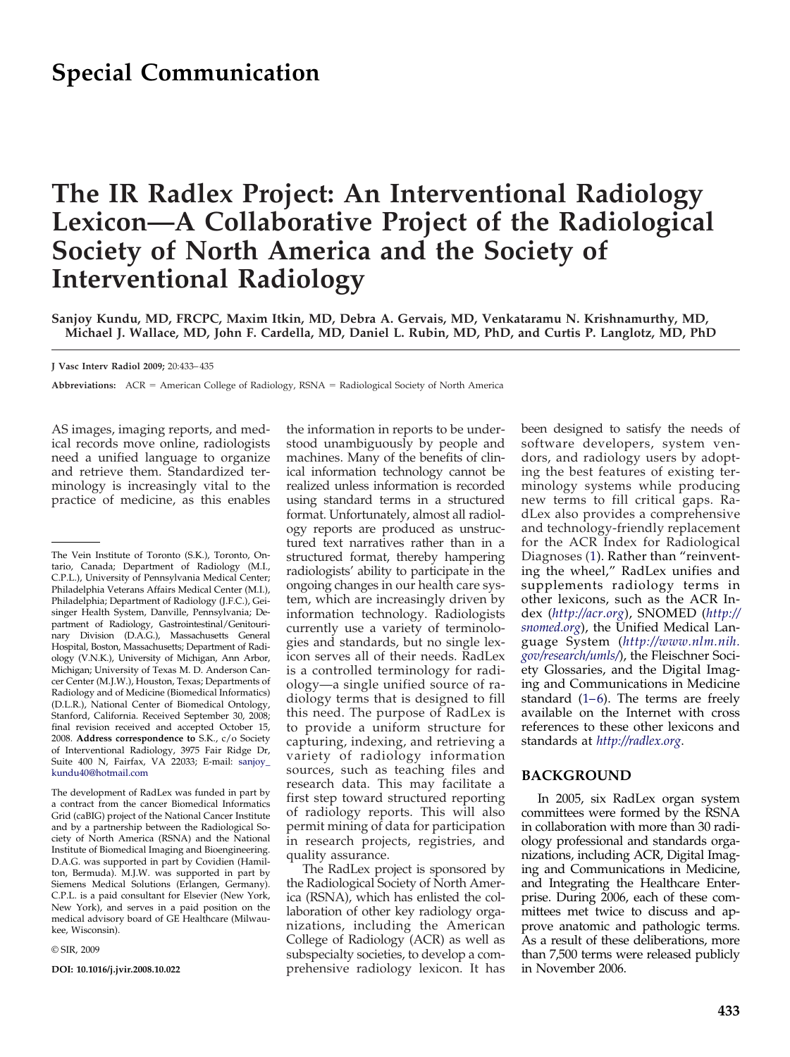## **Special Communication**

# **The IR Radlex Project: An Interventional Radiology Lexicon—A Collaborative Project of the Radiological Society of North America and the Society of Interventional Radiology**

**Sanjoy Kundu, MD, FRCPC, Maxim Itkin, MD, Debra A. Gervais, MD, Venkataramu N. Krishnamurthy, MD, Michael J. Wallace, MD, John F. Cardella, MD, Daniel L. Rubin, MD, PhD, and Curtis P. Langlotz, MD, PhD**

**J Vasc Interv Radiol 2009;** 20:433– 435

Abbreviations: ACR = American College of Radiology, RSNA = Radiological Society of North America

AS images, imaging reports, and medical records move online, radiologists need a unified language to organize and retrieve them. Standardized terminology is increasingly vital to the practice of medicine, as this enables

The development of RadLex was funded in part by a contract from the cancer Biomedical Informatics Grid (caBIG) project of the National Cancer Institute and by a partnership between the Radiological Society of North America (RSNA) and the National Institute of Biomedical Imaging and Bioengineering. D.A.G. was supported in part by Covidien (Hamilton, Bermuda). M.J.W. was supported in part by Siemens Medical Solutions (Erlangen, Germany). C.P.L. is a paid consultant for Elsevier (New York, New York), and serves in a paid position on the medical advisory board of GE Healthcare (Milwaukee, Wisconsin).

© SIR, 2009

**DOI: 10.1016/j.jvir.2008.10.022**

the information in reports to be understood unambiguously by people and machines. Many of the benefits of clinical information technology cannot be realized unless information is recorded using standard terms in a structured format. Unfortunately, almost all radiology reports are produced as unstructured text narratives rather than in a structured format, thereby hampering radiologists' ability to participate in the ongoing changes in our health care system, which are increasingly driven by information technology. Radiologists currently use a variety of terminologies and standards, but no single lexicon serves all of their needs. RadLex is a controlled terminology for radiology—a single unified source of radiology terms that is designed to fill this need. The purpose of RadLex is to provide a uniform structure for capturing, indexing, and retrieving a variety of radiology information sources, such as teaching files and research data. This may facilitate a first step toward structured reporting of radiology reports. This will also permit mining of data for participation in research projects, registries, and quality assurance.

The RadLex project is sponsored by the Radiological Society of North America (RSNA), which has enlisted the collaboration of other key radiology organizations, including the American College of Radiology (ACR) as well as subspecialty societies, to develop a comprehensive radiology lexicon. It has

been designed to satisfy the needs of software developers, system vendors, and radiology users by adopting the best features of existing terminology systems while producing new terms to fill critical gaps. RadLex also provides a comprehensive and technology-friendly replacement for the ACR Index for Radiological Diagnoses [\(1\)](#page-2-0). Rather than "reinventing the wheel," RadLex unifies and supplements radiology terms in other lexicons, such as the ACR Index (*<http://acr.org>*), SNOMED (*[http://](http://snomed.org) [snomed.org](http://snomed.org)*), the Unified Medical Language System (*[http://www.nlm.nih.](http://www.nlm.nih.gov/research/umls/) [gov/research/umls/](http://www.nlm.nih.gov/research/umls/)*), the Fleischner Society Glossaries, and the Digital Imaging and Communications in Medicine standard  $(1-6)$ . The terms are freely available on the Internet with cross references to these other lexicons and standards at *<http://radlex.org>*.

#### **BACKGROUND**

In 2005, six RadLex organ system committees were formed by the RSNA in collaboration with more than 30 radiology professional and standards organizations, including ACR, Digital Imaging and Communications in Medicine, and Integrating the Healthcare Enterprise. During 2006, each of these committees met twice to discuss and approve anatomic and pathologic terms. As a result of these deliberations, more than 7,500 terms were released publicly in November 2006.

The Vein Institute of Toronto (S.K.), Toronto, Ontario, Canada; Department of Radiology (M.I., C.P.L.), University of Pennsylvania Medical Center; Philadelphia Veterans Affairs Medical Center (M.I.), Philadelphia; Department of Radiology (J.F.C.), Geisinger Health System, Danville, Pennsylvania; Department of Radiology, Gastrointestinal/Genitourinary Division (D.A.G.), Massachusetts General Hospital, Boston, Massachusetts; Department of Radiology (V.N.K.), University of Michigan, Ann Arbor, Michigan; University of Texas M. D. Anderson Cancer Center (M.J.W.), Houston, Texas; Departments of Radiology and of Medicine (Biomedical Informatics) (D.L.R.), National Center of Biomedical Ontology, Stanford, California. Received September 30, 2008; final revision received and accepted October 15, 2008. **Address correspondence to** S.K., c/o Society of Interventional Radiology, 3975 Fair Ridge Dr, Suite 400 N, Fairfax, VA 22033; E-mail: sanjoy [kundu40@hotmail.com](mailto:sanjoy_kundu40@hotmail.com)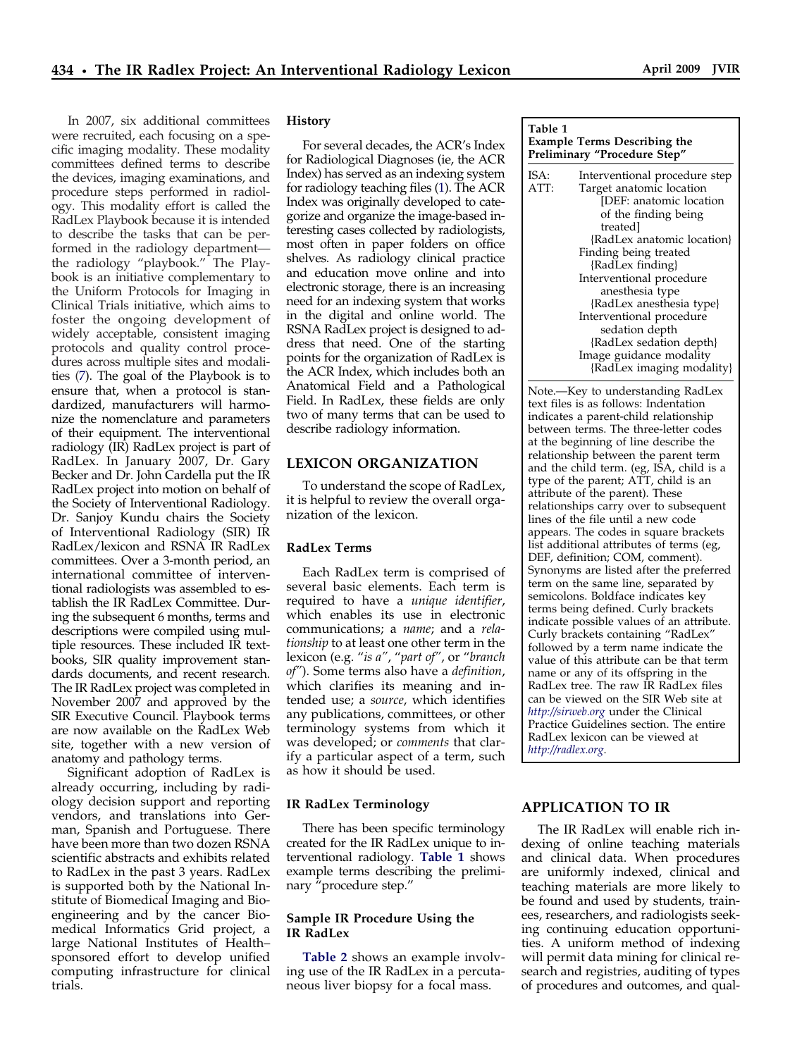In 2007, six additional committees were recruited, each focusing on a specific imaging modality. These modality committees defined terms to describe the devices, imaging examinations, and procedure steps performed in radiology. This modality effort is called the RadLex Playbook because it is intended to describe the tasks that can be performed in the radiology department the radiology "playbook." The Playbook is an initiative complementary to the Uniform Protocols for Imaging in Clinical Trials initiative, which aims to foster the ongoing development of widely acceptable, consistent imaging protocols and quality control procedures across multiple sites and modalities [\(7\)](#page-2-0). The goal of the Playbook is to ensure that, when a protocol is standardized, manufacturers will harmonize the nomenclature and parameters of their equipment. The interventional radiology (IR) RadLex project is part of RadLex. In January 2007, Dr. Gary Becker and Dr. John Cardella put the IR RadLex project into motion on behalf of the Society of Interventional Radiology. Dr. Sanjoy Kundu chairs the Society of Interventional Radiology (SIR) IR RadLex/lexicon and RSNA IR RadLex committees. Over a 3-month period, an international committee of interventional radiologists was assembled to establish the IR RadLex Committee. During the subsequent 6 months, terms and descriptions were compiled using multiple resources. These included IR textbooks, SIR quality improvement standards documents, and recent research. The IR RadLex project was completed in November 2007 and approved by the SIR Executive Council. Playbook terms are now available on the RadLex Web site, together with a new version of anatomy and pathology terms.

Significant adoption of RadLex is already occurring, including by radiology decision support and reporting vendors, and translations into German, Spanish and Portuguese. There have been more than two dozen RSNA scientific abstracts and exhibits related to RadLex in the past 3 years. RadLex is supported both by the National Institute of Biomedical Imaging and Bioengineering and by the cancer Biomedical Informatics Grid project, a large National Institutes of Health– sponsored effort to develop unified computing infrastructure for clinical trials.

#### **History**

For several decades, the ACR's Index for Radiological Diagnoses (ie, the ACR Index) has served as an indexing system for radiology teaching files [\(1\)](#page-2-0). The ACR Index was originally developed to categorize and organize the image-based interesting cases collected by radiologists, most often in paper folders on office shelves. As radiology clinical practice and education move online and into electronic storage, there is an increasing need for an indexing system that works in the digital and online world. The RSNA RadLex project is designed to address that need. One of the starting points for the organization of RadLex is the ACR Index, which includes both an Anatomical Field and a Pathological Field. In RadLex, these fields are only two of many terms that can be used to describe radiology information.

## **LEXICON ORGANIZATION**

To understand the scope of RadLex, it is helpful to review the overall organization of the lexicon.

#### **RadLex Terms**

Each RadLex term is comprised of several basic elements. Each term is required to have a *unique identifier*, which enables its use in electronic communications; a *name*; and a *relationship* to at least one other term in the lexicon (e.g. "*is a"*, "*part of"*, or "*branch of"*). Some terms also have a *definition*, which clarifies its meaning and intended use; a *source*, which identifies any publications, committees, or other terminology systems from which it was developed; or *comments* that clarify a particular aspect of a term, such as how it should be used.

#### **IR RadLex Terminology**

There has been specific terminology created for the IR RadLex unique to interventional radiology. **Table 1** shows example terms describing the preliminary "procedure step."

#### **Sample IR Procedure Using the IR RadLex**

**[Table 2](#page-2-0)** shows an example involving use of the IR RadLex in a percutaneous liver biopsy for a focal mass.

| rapie r<br><b>Example Terms Describing the</b><br>Preliminary "Procedure Step" |                                                                                                                         |
|--------------------------------------------------------------------------------|-------------------------------------------------------------------------------------------------------------------------|
| ISA:<br>ATT:                                                                   | Interventional procedure step<br>Target anatomic location<br>[DEF: anatomic location<br>of the finding being<br>treated |
|                                                                                | {RadLex anatomic location}<br>Finding being treated<br>{RadLex finding}<br>Interventional procedure                     |
|                                                                                | anesthesia type<br>{RadLex anesthesia type}<br>Interventional procedure                                                 |
|                                                                                | sedation depth<br>{RadLex sedation depth}<br>Image guidance modality<br>{RadLex imaging modality}                       |

**Table 1**

Note.—Key to understanding RadLex text files is as follows: Indentation indicates a parent-child relationship between terms. The three-letter codes at the beginning of line describe the relationship between the parent term and the child term. (eg, ISA, child is a type of the parent; ATT, child is an attribute of the parent). These relationships carry over to subsequent lines of the file until a new code appears. The codes in square brackets list additional attributes of terms (eg, DEF, definition; COM, comment). Synonyms are listed after the preferred term on the same line, separated by semicolons. Boldface indicates key terms being defined. Curly brackets indicate possible values of an attribute. Curly brackets containing "RadLex" followed by a term name indicate the value of this attribute can be that term name or any of its offspring in the RadLex tree. The raw IR RadLex files can be viewed on the SIR Web site at *<http://sirweb.org>* under the Clinical Practice Guidelines section. The entire RadLex lexicon can be viewed at *<http://radlex.org>*.

## **APPLICATION TO IR**

The IR RadLex will enable rich indexing of online teaching materials and clinical data. When procedures are uniformly indexed, clinical and teaching materials are more likely to be found and used by students, trainees, researchers, and radiologists seeking continuing education opportunities. A uniform method of indexing will permit data mining for clinical research and registries, auditing of types of procedures and outcomes, and qual